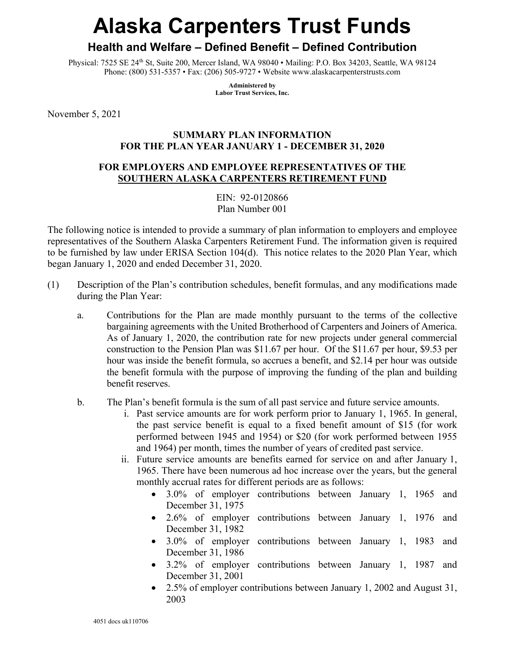# **Alaska Carpenters Trust Funds**

## **Health and Welfare – Defined Benefit – Defined Contribution**

Physical: 7525 SE 24th St, Suite 200, Mercer Island, WA 98040 • Mailing: P.O. Box 34203, Seattle, WA 98124 Phone: (800) 531-5357 • Fax: (206) 505-9727 • Website www.alaskacarpenterstrusts.com

> **Administered by Labor Trust Services, Inc.**

November 5, 2021

#### **SUMMARY PLAN INFORMATION FOR THE PLAN YEAR JANUARY 1 - DECEMBER 31, 2020**

### **FOR EMPLOYERS AND EMPLOYEE REPRESENTATIVES OF THE SOUTHERN ALASKA CARPENTERS RETIREMENT FUND**

EIN: 92-0120866 Plan Number 001

The following notice is intended to provide a summary of plan information to employers and employee representatives of the Southern Alaska Carpenters Retirement Fund. The information given is required to be furnished by law under ERISA Section 104(d). This notice relates to the 2020 Plan Year, which began January 1, 2020 and ended December 31, 2020.

- (1) Description of the Plan's contribution schedules, benefit formulas, and any modifications made during the Plan Year:
	- a. Contributions for the Plan are made monthly pursuant to the terms of the collective bargaining agreements with the United Brotherhood of Carpenters and Joiners of America. As of January 1, 2020, the contribution rate for new projects under general commercial construction to the Pension Plan was \$11.67 per hour. Of the \$11.67 per hour, \$9.53 per hour was inside the benefit formula, so accrues a benefit, and \$2.14 per hour was outside the benefit formula with the purpose of improving the funding of the plan and building benefit reserves.
	- b. The Plan's benefit formula is the sum of all past service and future service amounts.
		- i. Past service amounts are for work perform prior to January 1, 1965. In general, the past service benefit is equal to a fixed benefit amount of \$15 (for work performed between 1945 and 1954) or \$20 (for work performed between 1955 and 1964) per month, times the number of years of credited past service.
		- ii. Future service amounts are benefits earned for service on and after January 1, 1965. There have been numerous ad hoc increase over the years, but the general monthly accrual rates for different periods are as follows:
			- 3.0% of employer contributions between January 1, 1965 and December 31, 1975
			- 2.6% of employer contributions between January 1, 1976 and December 31, 1982
			- 3.0% of employer contributions between January 1, 1983 and December 31, 1986
			- 3.2% of employer contributions between January 1, 1987 and December 31, 2001
			- 2.5% of employer contributions between January 1, 2002 and August 31, 2003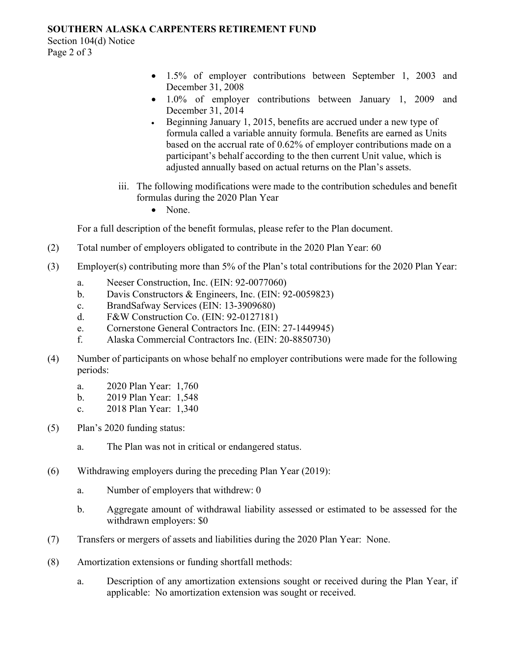#### **SOUTHERN ALASKA CARPENTERS RETIREMENT FUND**

Section 104(d) Notice Page 2 of 3

- 1.5% of employer contributions between September 1, 2003 and December 31, 2008
- 1.0% of employer contributions between January 1, 2009 and December 31, 2014
- Beginning January 1, 2015, benefits are accrued under a new type of formula called a variable annuity formula. Benefits are earned as Units based on the accrual rate of 0.62% of employer contributions made on a participant's behalf according to the then current Unit value, which is adjusted annually based on actual returns on the Plan's assets.
- iii. The following modifications were made to the contribution schedules and benefit formulas during the 2020 Plan Year
	- None.

For a full description of the benefit formulas, please refer to the Plan document.

- (2) Total number of employers obligated to contribute in the 2020 Plan Year: 60
- (3) Employer(s) contributing more than 5% of the Plan's total contributions for the 2020 Plan Year:
	- a. Neeser Construction, Inc. (EIN: 92-0077060)
	- b. Davis Constructors & Engineers, Inc. (EIN: 92-0059823)
	- c. BrandSafway Services (EIN: 13-3909680)
	- d. F&W Construction Co. (EIN: 92-0127181)
	- e. Cornerstone General Contractors Inc. (EIN: 27-1449945)
	- f. Alaska Commercial Contractors Inc. (EIN: 20-8850730)
- (4) Number of participants on whose behalf no employer contributions were made for the following periods:
	- a. 2020 Plan Year: 1,760
	- b. 2019 Plan Year: 1,548
	- c. 2018 Plan Year: 1,340
- (5) Plan's 2020 funding status:
	- a. The Plan was not in critical or endangered status.
- (6) Withdrawing employers during the preceding Plan Year (2019):
	- a. Number of employers that withdrew: 0
	- b. Aggregate amount of withdrawal liability assessed or estimated to be assessed for the withdrawn employers: \$0
- (7) Transfers or mergers of assets and liabilities during the 2020 Plan Year: None.
- (8) Amortization extensions or funding shortfall methods:
	- a. Description of any amortization extensions sought or received during the Plan Year, if applicable: No amortization extension was sought or received.